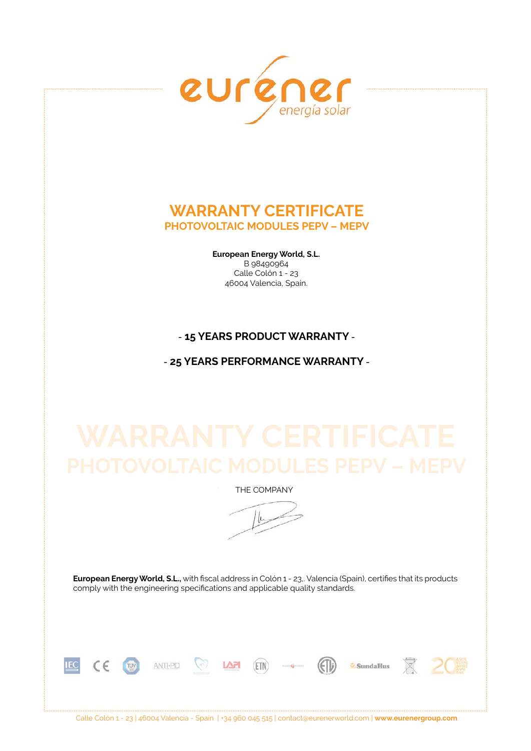

# **Warranty Certificate photovoltaic modules PEPV – MEPV**

**European Energy World, S.L.**  B 98490964 Calle Colón 1 - 23 46004 Valencia, Spain.

## - **15 years product warranty** -

- **25 years performance warranty** -

THE COMPANY

 $\mu$ 

**European Energy World, S.L.,** with fiscal address in Colón 1 - 23,. Valencia (Spain), certifies that its products comply with the engineering specifications and applicable quality standards.



Calle Colón 1 - 23 | 46004 Valencia - Spain | +34 960 045 515 | contact@eurenerworld.com | **www.eurenergroup.com**